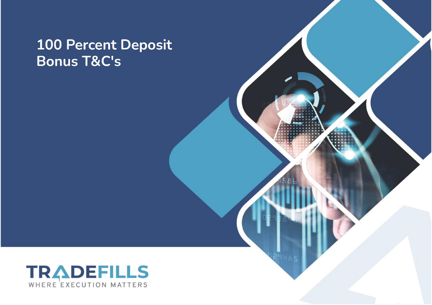## **100 Percent Deposit Bonus T&C's**

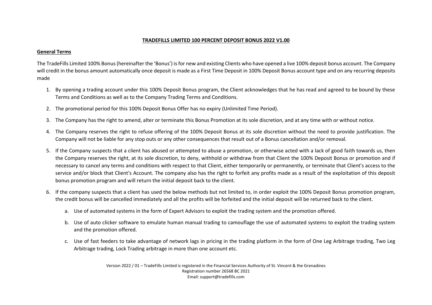## **TRADEFILLS LIMITED 100 PERCENT DEPOSIT BONUS 2022 V1.00**

## **General Terms**

The TradeFills Limited 100% Bonus (hereinafter the 'Bonus') is for new and existing Clients who have opened a live 100% deposit bonus account. The Company will credit in the bonus amount automatically once deposit is made as a First Time Deposit in 100% Deposit Bonus account type and on any recurring deposits made

- 1. By opening a trading account under this 100% Deposit Bonus program, the Client acknowledges that he has read and agreed to be bound by these Terms and Conditions as well as to the Company Trading Terms and Conditions.
- 2. The promotional period for this 100% Deposit Bonus Offer has no expiry (Unlimited Time Period).
- 3. The Company has the right to amend, alter or terminate this Bonus Promotion at its sole discretion, and at any time with or without notice.
- 4. The Company reserves the right to refuse offering of the 100% Deposit Bonus at its sole discretion without the need to provide justification. The Company will not be liable for any stop outs or any other consequences that result out of a Bonus cancellation and/or removal.
- 5. If the Company suspects that a client has abused or attempted to abuse a promotion, or otherwise acted with a lack of good faith towards us, then the Company reserves the right, at its sole discretion, to deny, withhold or withdraw from that Client the 100% Deposit Bonus or promotion and if necessary to cancel any terms and conditions with respect to that Client, either temporarily or permanently, or terminate that Client's access to the service and/or block that Client's Account. The company also has the right to forfeit any profits made as a result of the exploitation of this deposit bonus promotion program and will return the initial deposit back to the client.
- 6. If the company suspects that a client has used the below methods but not limited to, in order exploit the 100% Deposit Bonus promotion program, the credit bonus will be cancelled immediately and all the profits will be forfeited and the initial deposit will be returned back to the client.
	- a. Use of automated systems in the form of Expert Advisors to exploit the trading system and the promotion offered.
	- b. Use of auto clicker software to emulate human manual trading to camouflage the use of automated systems to exploit the trading system and the promotion offered.
	- c. Use of fast feeders to take advantage of network lags in pricing in the trading platform in the form of One Leg Arbitrage trading, Two Leg Arbitrage trading, Lock Trading arbitrage in more than one account etc.

Version 2022 / 01 – TradeFills Limited is registered in the Financial Services Authority of St. Vincent & the Grenadines Registration number 26568 BC 2021 Email: support@tradefills.com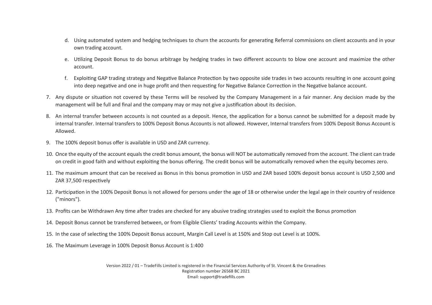- d. Using automated system and hedging techniques to churn the accounts for generating Referral commissions on client accounts and in your own trading account.
- e. U�lizing Deposit Bonus to do bonus arbitrage by hedging trades in two different accounts to blow one account and maximize the other account.
- f. Exploiting GAP trading strategy and Negative Balance Protection by two opposite side trades in two accounts resulting in one account going into deep negative and one in huge profit and then requesting for Negative Balance Correction in the Negative balance account.
- 7. Any dispute or situation not covered by these Terms will be resolved by the Company Management in a fair manner. Any decision made by the management will be full and final and the company may or may not give a justification about its decision.
- 8. An internal transfer between accounts is not counted as a deposit. Hence, the application for a bonus cannot be submitted for a deposit made by internal transfer. Internal transfers to 100% Deposit Bonus Accounts is not allowed. However, Internal transfers from 100% Deposit Bonus Account is Allowed.
- 9. The 100% deposit bonus offer is available in USD and ZAR currency.
- 10. Once the equity of the account equals the credit bonus amount, the bonus will NOT be automa�cally removed from the account. The client can trade on credit in good faith and without exploiting the bonus offering. The credit bonus will be automatically removed when the equity becomes zero.
- 11. The maximum amount that can be received as Bonus in this bonus promo�on in USD and ZAR based 100% deposit bonus account is USD 2,500 and ZAR 37,500 respectively
- 12. Participation in the 100% Deposit Bonus is not allowed for persons under the age of 18 or otherwise under the legal age in their country of residence ("minors").
- 13. Profits can be Withdrawn Any time after trades are checked for any abusive trading strategies used to exploit the Bonus promotion
- 14. Deposit Bonus cannot be transferred between, or from Eligible Clients' trading Accounts within the Company.
- 15. In the case of selec�ng the 100% Deposit Bonus account, Margin Call Level is at 150% and Stop out Level is at 100%.
- 16. The Maximum Leverage in 100% Deposit Bonus Account is 1:400

Version 2022 / 01 – TradeFills Limited is registered in the Financial Services Authority of St. Vincent & the Grenadines Registration number 26568 BC 2021 Email: support@tradefills.com